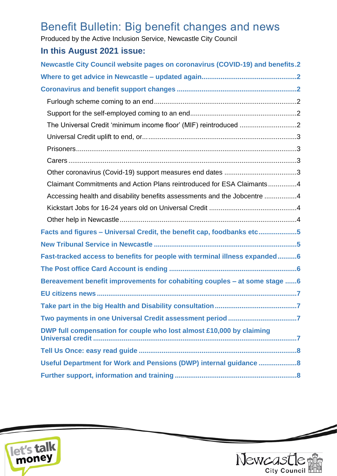# Benefit Bulletin: Big benefit changes and news

Produced by the Active Inclusion Service, Newcastle City Council

## **In this August 2021 issue:**

| <b>Newcastle City Council website pages on coronavirus (COVID-19) and benefits.2</b> |
|--------------------------------------------------------------------------------------|
|                                                                                      |
|                                                                                      |
|                                                                                      |
|                                                                                      |
| The Universal Credit 'minimum income floor' (MIF) reintroduced 2                     |
|                                                                                      |
|                                                                                      |
|                                                                                      |
| Other coronavirus (Covid-19) support measures end dates 3                            |
| Claimant Commitments and Action Plans reintroduced for ESA Claimants4                |
| Accessing health and disability benefits assessments and the Jobcentre 4             |
|                                                                                      |
|                                                                                      |
| Facts and figures - Universal Credit, the benefit cap, foodbanks etc5                |
|                                                                                      |
| Fast-tracked access to benefits for people with terminal illness expanded6           |
|                                                                                      |
| Bereavement benefit improvements for cohabiting couples - at some stage 6            |
|                                                                                      |
|                                                                                      |
|                                                                                      |
| DWP full compensation for couple who lost almost £10,000 by claiming                 |
|                                                                                      |
| Useful Department for Work and Pensions (DWP) internal guidance 8                    |
|                                                                                      |





 $\overline{\phantom{a}}$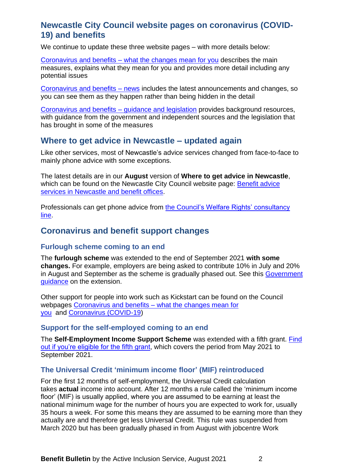## <span id="page-1-0"></span>**Newcastle City Council website pages on coronavirus (COVID-19) and benefits**

We continue to update these three website pages – with more details below:

Coronavirus and benefits – [what the changes mean for you](https://www.newcastle.gov.uk/services/welfare-benefits/welfare-rights-and-money-advice/coronavirus-and-benefits-what-changes) describes the main measures, explains what they mean for you and provides more detail including any potential issues

[Coronavirus and benefits –](https://www.newcastle.gov.uk/services/coronavirus-and-benefits-news) news includes the latest announcements and changes, so you can see them as they happen rather than being hidden in the detail

[Coronavirus and benefits –](https://www.newcastle.gov.uk/services/coronavirus-and-benefits-guidance-and-legislation) guidance and legislation provides background resources, with guidance from the government and independent sources and the legislation that has brought in some of the measures

## <span id="page-1-1"></span>**Where to get advice in Newcastle – updated again**

Like other services, most of Newcastle's advice services changed from face-to-face to mainly phone advice with some exceptions.

The latest details are in our **August** version of **Where to get advice in Newcastle**, which can be found on the Newcastle City Council website page: Benefit advice [services in Newcastle and benefit offices.](https://www.newcastle.gov.uk/services/welfare-benefits/welfare-rights-and-money-advice/benefit-advice-services-newcastle-and)

Professionals can get phone advice from [the Council's Welfare Rights' consultancy](https://www.newcastle.gov.uk/services/welfare-benefits/welfare-rights-and-money-advice/information-professionals-and-volunteers#consult)  [line.](https://www.newcastle.gov.uk/services/welfare-benefits/welfare-rights-and-money-advice/information-professionals-and-volunteers#consult)

## <span id="page-1-2"></span>**Coronavirus and benefit support changes**

#### <span id="page-1-3"></span>**Furlough scheme coming to an end**

The **furlough scheme** was extended to the end of September 2021 **with some changes.** For example, employers are being asked to contribute 10% in July and 20% in August and September as the scheme is gradually phased out. See this [Government](https://www.gov.uk/government/publications/changes-to-the-coronavirus-job-retention-scheme?utm_medium=email&utm_campaign=govuk-notifications&utm_source=fa4e2641-11fa-40a1-8d77-08ffb3b31253&utm_content=daily)  [guidance](https://www.gov.uk/government/publications/changes-to-the-coronavirus-job-retention-scheme?utm_medium=email&utm_campaign=govuk-notifications&utm_source=fa4e2641-11fa-40a1-8d77-08ffb3b31253&utm_content=daily) on the extension.

Other support for people into work such as Kickstart can be found on the Council webpages Coronavirus and benefits – [what the changes mean for](https://www.newcastle.gov.uk/services/welfare-benefits/welfare-rights-and-money-advice/coronavirus-and-benefits-what-changes)  [you](https://www.newcastle.gov.uk/services/welfare-benefits/welfare-rights-and-money-advice/coronavirus-and-benefits-what-changes) and [Coronavirus \(COVID-19\)](https://www.newcastle.gov.uk/services/public-health-wellbeing-and-leisure/public-health-services/coronavirus-covid-19)

#### <span id="page-1-4"></span>**Support for the self-employed coming to an end**

The **Self-Employment Income Support Scheme** was extended with a fifth grant. [Find](https://www.gov.uk/government/publications/self-employment-income-support-scheme-fifth-grant?utm_medium=email&utm_campaign=govuk-notifications&utm_source=2dad7e64-9421-4ce0-b27a-2005e70b5257&utm_content=daily)  [out if you're eligible for the fifth grant,](https://www.gov.uk/government/publications/self-employment-income-support-scheme-fifth-grant?utm_medium=email&utm_campaign=govuk-notifications&utm_source=2dad7e64-9421-4ce0-b27a-2005e70b5257&utm_content=daily) which covers the period from May 2021 to September 2021.

#### <span id="page-1-5"></span>**The Universal Credit 'minimum income floor' (MIF) reintroduced**

For the first 12 months of self-employment, the Universal Credit calculation takes **actual** income into account. After 12 months a rule called the 'minimum income floor' (MIF) is usually applied, where you are assumed to be earning at least the national minimum wage for the number of hours you are expected to work for, usually 35 hours a week. For some this means they are assumed to be earning more than they actually are and therefore get less Universal Credit. This rule was suspended from March 2020 but has been gradually phased in from August with jobcentre Work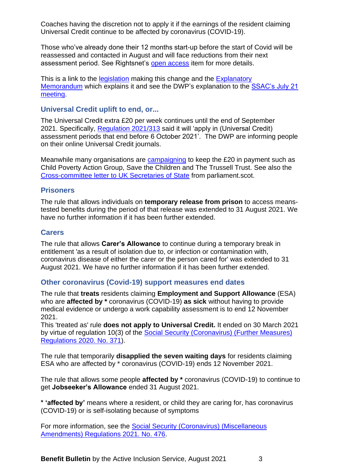Coaches having the discretion not to apply it if the earnings of the resident claiming Universal Credit continue to be affected by coronavirus (COVID-19).

Those who've already done their 12 months start-up before the start of Covid will be reassessed and contacted in August and will face reductions from their next assessment period. See Rightsnet's [open access](https://www.rightsnet.org.uk/welfare-rights/news/item/dwp-confirms-that-self-employed-universal-credit-claimants-will-begin-to-be-impacted-by-the-reintroduction-of-the-minimum-income-floor-from-mid-september-2021) item for more details.

This is a link to the [legislation](https://www.legislation.gov.uk/uksi/2021/807/made) making this change and the Explanatory [Memorandum](https://www.legislation.gov.uk/uksi/2021/807/memorandum/contents) which explains it and see the DWP's explanation to the [SSAC's July 21](https://www.gov.uk/government/organisations/social-security-advisory-committee/about/membership#minutes-of-meetings)  [meeting.](https://www.gov.uk/government/organisations/social-security-advisory-committee/about/membership#minutes-of-meetings)

#### <span id="page-2-0"></span>**Universal Credit uplift to end, or...**

The Universal Credit extra £20 per week continues until the end of September 2021. Specifically, [Regulation 2021/313](https://www.legislation.gov.uk/uksi/2021/313/regulation/3/made) said it will 'apply in (Universal Credit) assessment periods that end before 6 October 2021'. The DWP are informing people on their online Universal Credit journals.

Meanwhile many organisations are [campaigning](https://cpag.org.uk/keep-lifeline-stop-cut) to keep the £20 in payment such as Child Poverty Action Group, Save the Children and The Trussell Trust. See also the [Cross-committee letter to UK Secretaries of State](https://www.parliament.scot/chamber-and-committees/committees/current-and-previous-committees/session-6-social-justice-and-social-security-committee/correspondence/2021/letter-about-the-universal-credit-uplift-to-uk-secretaries-of-state) from parliament.scot.

#### <span id="page-2-1"></span>**Prisoners**

The rule that allows individuals on **temporary release from prison** to access meanstested benefits during the period of that release was extended to 31 August 2021. We have no further information if it has been further extended.

#### <span id="page-2-2"></span>**Carers**

The rule that allows **Carer's Allowance** to continue during a temporary break in entitlement 'as a result of isolation due to, or infection or contamination with, coronavirus disease of either the carer or the person cared for' was extended to 31 August 2021. We have no further information if it has been further extended.

#### <span id="page-2-3"></span>**Other coronavirus (Covid-19) support measures end dates**

The rule that **treats** residents claiming **Employment and Support Allowance** (ESA) who are **affected by \*** coronavirus (COVID-19) **as sick** without having to provide medical evidence or undergo a work capability assessment is to end 12 November 2021.

This 'treated as' rule **does not apply to Universal Credit.** It ended on 30 March 2021 by virtue of regulation 10(3) of the [Social Security \(Coronavirus\) \(Further Measures\)](https://www.legislation.gov.uk/uksi/2020/371/contents?commentary-c24046991)  [Regulations 2020. No. 371\)](https://www.legislation.gov.uk/uksi/2020/371/contents?commentary-c24046991).

The rule that temporarily **disapplied the seven waiting days** for residents claiming ESA who are affected by \* coronavirus (COVID-19) ends 12 November 2021.

The rule that allows some people **affected by \*** coronavirus (COVID-19) to continue to get **Jobseeker's Allowance** ended 31 August 2021.

**\* 'affected by'** means where a resident, or child they are caring for, has coronavirus (COVID-19) or is self-isolating because of symptoms

For more information, see the [Social Security \(Coronavirus\) \(Miscellaneous](https://www.legislation.gov.uk/uksi/2021/476/made)  [Amendments\) Regulations 2021. No. 476.](https://www.legislation.gov.uk/uksi/2021/476/made)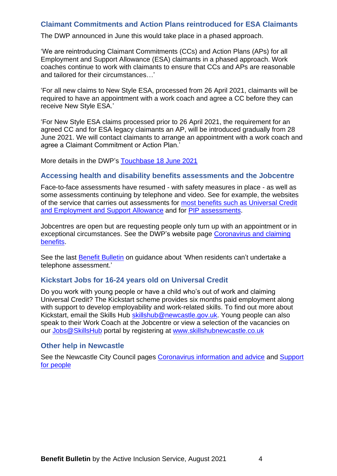#### <span id="page-3-0"></span>**Claimant Commitments and Action Plans reintroduced for ESA Claimants**

The DWP announced in June this would take place in a phased approach.

'We are reintroducing Claimant Commitments (CCs) and Action Plans (APs) for all Employment and Support Allowance (ESA) claimants in a phased approach. Work coaches continue to work with claimants to ensure that CCs and APs are reasonable and tailored for their circumstances…'

'For all new claims to New Style ESA, processed from 26 April 2021, claimants will be required to have an appointment with a work coach and agree a CC before they can receive New Style ESA.'

'For New Style ESA claims processed prior to 26 April 2021, the requirement for an agreed CC and for ESA legacy claimants an AP, will be introduced gradually from 28 June 2021. We will contact claimants to arrange an appointment with a work coach and agree a Claimant Commitment or Action Plan.'

More details in the DWP's [Touchbase 18 June 2021](https://news.dwp.gov.uk/dwplz/lz.aspx?p1=MWrDU1MzY5M1M3OTI0OjAwNEM3NEI5OEM3NjRBRDA0ODhDNEUwMTMxOEQxMkEw-&CC=&p=0)

#### <span id="page-3-1"></span>**Accessing health and disability benefits assessments and the Jobcentre**

Face-to-face assessments have resumed - with safety measures in place - as well as some assessments continuing by telephone and video. See for example, the websites of the service that carries out assessments for most benefits [such as Universal Credit](https://www.chdauk.co.uk/your-assessment)  [and Employment and Support](https://www.chdauk.co.uk/your-assessment) Allowance and for [PIP assessments.](https://www.mypipassessment.co.uk/)

Jobcentres are open but are requesting people only turn up with an appointment or in exceptional circumstances. See the DWP's website page [Coronavirus and claiming](https://www.understandinguniversalcredit.gov.uk/Coronavirus/)  [benefits.](https://www.understandinguniversalcredit.gov.uk/Coronavirus/)

See the last [Benefit Bulletin](https://www.newcastle.gov.uk/services/welfare-benefits/welfare-rights-and-money-advice/information-professionals-and-volunteers#bulletins) on guidance about 'When residents can't undertake a telephone assessment.'

#### <span id="page-3-2"></span>**Kickstart Jobs for 16-24 years old on Universal Credit**

Do you work with young people or have a child who's out of work and claiming Universal Credit? The Kickstart scheme provides six months paid employment along with support to develop employability and work-related skills. To find out more about Kickstart, email the Skills Hub [skillshub@newcastle.gov.uk.](mailto:skillshub@newcastle.gov.uk) Young people can also speak to their Work Coach at the Jobcentre or view a selection of the vacancies on our [Jobs@SkillsHub](mailto:Jobs@SkillsHub) portal by registering at [www.skillshubnewcastle.co.uk](http://www.skillshubnewcastle.co.uk/) 

#### <span id="page-3-3"></span>**Other help in Newcastle**

See the Newcastle City Council pages [Coronavirus information and advice](https://www.newcastle.gov.uk/services/public-health-wellbeing-and-leisure/public-health-services/coronavirus-covid-19) and [Support](https://www.newcastle.gov.uk/services/public-health-wellbeing-and-leisure/public-health-services/coronavirus-covid-19/coronavirus-support-for-people)  [for people](https://www.newcastle.gov.uk/services/public-health-wellbeing-and-leisure/public-health-services/coronavirus-covid-19/coronavirus-support-for-people)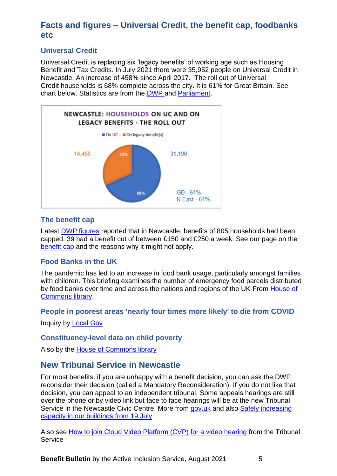## <span id="page-4-0"></span>**Facts and figures – Universal Credit, the benefit cap, foodbanks etc**

#### **Universal Credit**

Universal Credit is replacing six 'legacy benefits' of working age such as Housing Benefit and Tax Credits. In July 2021 there were 35,952 people on Universal Credit in Newcastle. An increase of 458% since April 2017. The roll out of Universal Credit households is 68% complete across the city. It is 61% for Great Britain. See chart below. Statistics are from the [DWP a](http://dwp-stats.maps.arcgis.com/apps/MapSeries/index.html?appid=f90fb305d8da4eb3970812b3199cf489)nd [Parliament.](https://commonslibrary.parliament.uk/social-policy/welfare-pensions/benefits/constituency-data-universal-credit-roll-out/)



#### **The benefit cap**

Latest [DWP figures](https://www.gov.uk/government/collections/benefit-cap-statistics) reported that in Newcastle, benefits of 805 households had been capped. 39 had a benefit cut of between £150 and £250 a week. See our page on the [benefit cap](https://www.newcastle.gov.uk/services/welfare-benefits/welfare-rights-and-money-advice/changes-benefits-system/changes-benefits) and the reasons why it might not apply.

#### **[Food Banks in the UK](https://parliament.us16.list-manage.com/track/click?u=3ad7e4c57a864f07e4db008c4&id=e5da4e265a&e=4045056713)**

The pandemic has led to an increase in food bank usage, particularly amongst families with children. This briefing examines the number of emergency food parcels distributed by food banks over time and across the nations and regions of the UK From [House of](https://parliament.us16.list-manage.com/track/click?u=3ad7e4c57a864f07e4db008c4&id=e5da4e265a&e=4045056713) [Commons library](https://parliament.us16.list-manage.com/track/click?u=3ad7e4c57a864f07e4db008c4&id=e5da4e265a&e=4045056713)

#### **People in poorest areas 'nearly four times more likely' to die from COVID**

Inquiry by **Local Gov** 

#### **Constituency-level data on child poverty**

<span id="page-4-1"></span>Also by the House [of Commons library](https://parliament.us16.list-manage.com/track/click?u=3ad7e4c57a864f07e4db008c4&id=fa99414f69&e=4045056713)

## **New Tribunal Service in Newcastle**

For most benefits, if you are unhappy with a benefit decision, you can ask the DWP reconsider their decision (called a Mandatory Reconsideration). If you do not like that decision, you can appeal to an independent tribunal. Some appeals hearings are still over the phone or by video link but face to face hearings will be at the new Tribunal Service in the Newcastle Civic Centre. More from [gov.uk](https://www.gov.uk/government/news/newcastle-civil-family-and-tribunals-centre-officially-opens-its-doors) and also Safely increasing [capacity in our buildings from 19 July](https://insidehmcts.blog.gov.uk/2021/07/15/safely-increasing-capacity-in-our-buildings-from-19-july)

Also see [How to join Cloud Video Platform \(CVP\) for a video hearing](https://www.gov.uk/government/publications/how-to-join-a-cloud-video-platform-cvp-hearing/how-to-join-cloud-video-platform-cvp-for-a-video-hearing) from the Tribunal **Service** 

**Benefit Bulletin** by the Active Inclusion Service, August 2021 5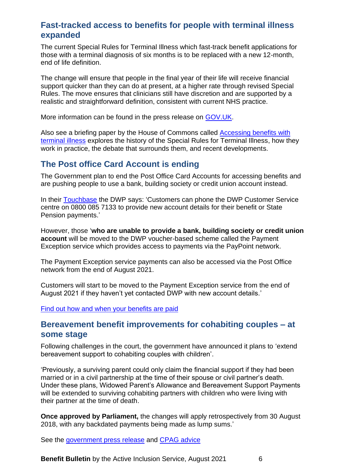## <span id="page-5-0"></span>**Fast-tracked access to benefits for people with terminal illness expanded**

The current Special Rules for Terminal Illness which fast-track benefit applications for those with a terminal diagnosis of six months is to be replaced with a new 12-month, end of life definition.

The change will ensure that people in the final year of their life will receive financial support quicker than they can do at present, at a higher rate through revised Special Rules. The move ensures that clinicians still have discretion and are supported by a realistic and straightforward definition, consistent with current NHS practice.

More information can be found in the press release on [GOV.UK.](https://news.dwp.gov.uk/dwplz/lz.aspx?p1=MtcDU1OTY4M1M4OTI0OjM5RDkzQURGNTA2OTEyMUUyNjE0ODJEQzVGNDcwNjlB-&CC=&w=75741)

Also see a briefing paper by the House of Commons called [Accessing benefits with](https://parliament.us16.list-manage.com/track/click?u=3ad7e4c57a864f07e4db008c4&id=4129fc6970&e=4045056713)  [terminal illness](https://parliament.us16.list-manage.com/track/click?u=3ad7e4c57a864f07e4db008c4&id=4129fc6970&e=4045056713) explores the history of the Special Rules for Terminal Illness, how they work in practice, the debate that surrounds them, and recent developments.

## <span id="page-5-1"></span>**The Post office Card Account is ending**

The Government plan to end the Post Office Card Accounts for accessing benefits and are pushing people to use a bank, building society or credit union account instead.

In their [Touchbase](https://news.dwp.gov.uk/dwplz/lz.aspx?p1=M4ADUyMDEyMDFTMTEzNDo2OTJDNTQ5NjM1MUY1OThCODNGMTZEM0NERDhBMEM0RA%3d%3d-&CC=&p=0) the DWP says: 'Customers can phone the DWP Customer Service centre on 0800 085 7133 to provide new account details for their benefit or State Pension payments.'

However, those '**who are unable to provide a bank, building society or credit union account** will be moved to the DWP voucher-based scheme called the Payment Exception service which provides access to payments via the PayPoint network.

The Payment Exception service payments can also be accessed via the Post Office network from the end of August 2021.

Customers will start to be moved to the Payment Exception service from the end of August 2021 if they haven't yet contacted DWP with new account details.'

<span id="page-5-2"></span>[Find out how and when](https://news.dwp.gov.uk/dwplz/lz.aspx?p1=M4ADUyMDEyMDFTMTEzNDo2OTJDNTQ5NjM1MUY1OThCODNGMTZEM0NERDhBMEM0RA==-&CC=&w=76180) your benefits are paid

## **Bereavement benefit improvements for cohabiting couples – at some stage**

Following challenges in the court, the government have announced it plans to 'extend bereavement support to cohabiting couples with children'.

'Previously, a surviving parent could only claim the financial support if they had been married or in a civil partnership at the time of their spouse or civil partner's death. Under these plans, Widowed Parent's Allowance and Bereavement Support Payments will be extended to surviving cohabiting partners with children who were living with their partner at the time of death.

**Once approved by Parliament,** the changes will apply retrospectively from 30 August 2018, with any backdated payments being made as lump sums.'

See the government [press release](https://www.gov.uk/government/news/cohabiting-couples-to-benefit-from-changes-to-bereavement-benefit-rules?utm_medium=email&utm_campaign=govuk-notifications&utm_source=1466bfa6-bb9c-44b8-8cfa-f63786b23e87&utm_content=daily) and [CPAG advice](https://cpag.org.uk/sites/default/files/files/CPAG-Note-for-parents-on-Siobhan-McLaughlin-case_0.pdf)

**Benefit Bulletin** by the Active Inclusion Service, August 2021 6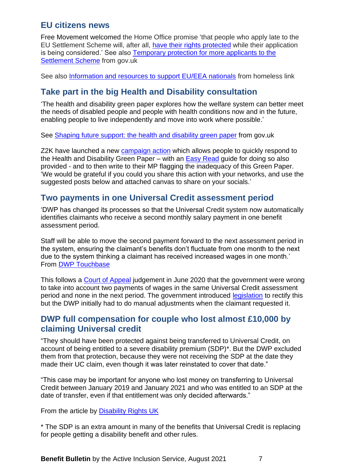## <span id="page-6-0"></span>**EU citizens news**

Free Movement welcomed the Home Office promise 'that people who apply late to the EU Settlement Scheme will, after all, [have their rights protected](https://freemovement.us7.list-manage.com/track/click?u=f9bd6cf96dfcc32f56ee73924&id=a0ce9a1447&e=110fdfc55a) while their application is being considered.' See also [Temporary protection for more applicants to the](https://www.gov.uk/government/news/temporary-protection-for-more-applicants-to-the-settlement-scheme)  [Settlement Scheme](https://www.gov.uk/government/news/temporary-protection-for-more-applicants-to-the-settlement-scheme) from gov.uk

See also [Information and resources to support EU/EEA nationals](https://homeless.org.uk/our-work/resources/working-with-eea-nationals) from homeless link

## <span id="page-6-1"></span>**Take part in the big Health and Disability consultation**

'The health and disability green paper explores how the welfare system can better meet the needs of disabled people and people with health conditions now and in the future, enabling people to live independently and move into work where possible.'

See [Shaping future support: the health and disability green paper](https://www.gov.uk/government/consultations/shaping-future-support-the-health-and-disability-green-paper?utm_medium=email&utm_campaign=govuk-notifications&utm_source=15ccb7b2-ad19-4122-b06d-bafe7acf791b&utm_content=daily) from gov.uk

Z2K have launched a new [campaign action](https://z2k.eaction.org.uk/RespondGreenPaper) which allows people to quickly respond to the Health and Disability Green Paper – with an [Easy Read](https://www.z2k.org/wp-content/uploads/2021/08/Easy-Read-FINAL.pdf) guide for doing so also provided - and to then write to their MP flagging the inadequacy of this Green Paper. 'We would be grateful if you could you share this action with your networks, and use the suggested posts below and attached canvas to share on your socials.'

## <span id="page-6-2"></span>**Two payments in one Universal Credit assessment period**

'DWP has changed its processes so that the Universal Credit system now automatically identifies claimants who receive a second monthly salary payment in one benefit assessment period.

Staff will be able to move the second payment forward to the next assessment period in the system, ensuring the claimant's benefits don't fluctuate from one month to the next due to the system thinking a claimant has received increased wages in one month.' From [DWP Touchbase](https://news.dwp.gov.uk/dwplz/lz.aspx?p1=MJMDUzMDEyMDFTMzEzNDoxNkZFOTZDQkNEMDZDN0M1MzJFNTNFMDZFODcxMjhBNg%3d%3d-&CC=&p=0)

This follows a [Court of Appeal](https://www.bailii.org/ew/cases/EWCA/Civ/2020/778.html) judgement in June 2020 that the government were wrong to take into account two payments of wages in the same Universal Credit assessment period and none in the next period. The government introduced [legislation](https://www.legislation.gov.uk/uksi/2020/1138/made) to rectify this but the DWP initially had to do manual adjustments when the claimant requested it.

## <span id="page-6-3"></span>**DWP full compensation for couple who lost almost £10,000 by claiming Universal credit**

"They should have been protected against being transferred to Universal Credit, on account of being entitled to a severe disability premium (SDP)\*. But the DWP excluded them from that protection, because they were not receiving the SDP at the date they made their UC claim, even though it was later reinstated to cover that date."

"This case may be important for anyone who lost money on transferring to Universal Credit between January 2019 and January 2021 and who was entitled to an SDP at the date of transfer, even if that entitlement was only decided afterwards."

From the article by [Disability Rights UK](https://www.disabilityrightsuk.org/sites/all/modules/civicrm/extern/url.php?u=60881&qid=9759246)

\* The SDP is an extra amount in many of the benefits that Universal Credit is replacing for people getting a disability benefit and other rules.